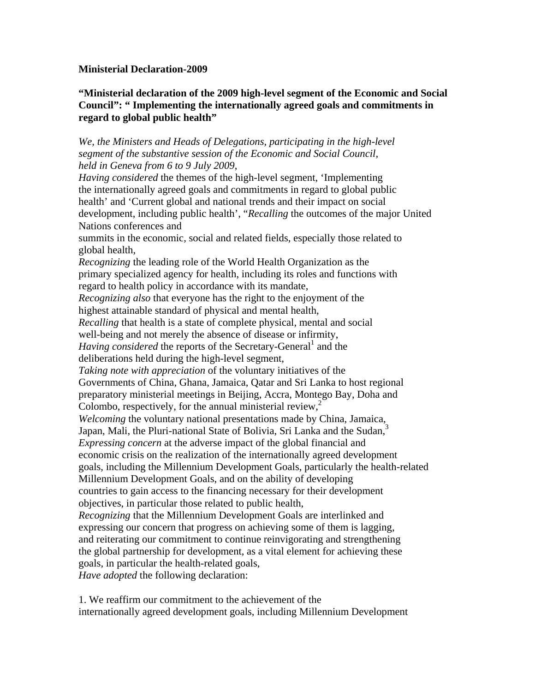## **Ministerial Declaration-2009**

## **"Ministerial declaration of the 2009 high-level segment of the Economic and Social Council": " Implementing the internationally agreed goals and commitments in regard to global public health"**

*We, the Ministers and Heads of Delegations, participating in the high-level segment of the substantive session of the Economic and Social Council, held in Geneva from 6 to 9 July 2009*,

*Having considered* the themes of the high-level segment, 'Implementing the internationally agreed goals and commitments in regard to global public health' and 'Current global and national trends and their impact on social development, including public health', "*Recalling* the outcomes of the major United Nations conferences and

summits in the economic, social and related fields, especially those related to global health,

*Recognizing* the leading role of the World Health Organization as the primary specialized agency for health, including its roles and functions with regard to health policy in accordance with its mandate, *Recognizing also* that everyone has the right to the enjoyment of the highest attainable standard of physical and mental health, *Recalling* that health is a state of complete physical, mental and social well-being and not merely the absence of disease or infirmity, Having considered the reports of the Secretary-General<sup>1</sup> and the deliberations held during the high-level segment, *Taking note with appreciation* of the voluntary initiatives of the Governments of China, Ghana, Jamaica, Qatar and Sri Lanka to host regional preparatory ministerial meetings in Beijing, Accra, Montego Bay, Doha and Colombo, respectively, for the annual ministerial review, $\lambda^2$ *Welcoming* the voluntary national presentations made by China, Jamaica, Japan, Mali, the Pluri-national State of Bolivia, Sri Lanka and the Sudan,<sup>3</sup> *Expressing concern* at the adverse impact of the global financial and economic crisis on the realization of the internationally agreed development goals, including the Millennium Development Goals, particularly the health-related Millennium Development Goals, and on the ability of developing countries to gain access to the financing necessary for their development objectives, in particular those related to public health, *Recognizing* that the Millennium Development Goals are interlinked and expressing our concern that progress on achieving some of them is lagging, and reiterating our commitment to continue reinvigorating and strengthening the global partnership for development, as a vital element for achieving these goals, in particular the health-related goals,

*Have adopted* the following declaration:

1. We reaffirm our commitment to the achievement of the internationally agreed development goals, including Millennium Development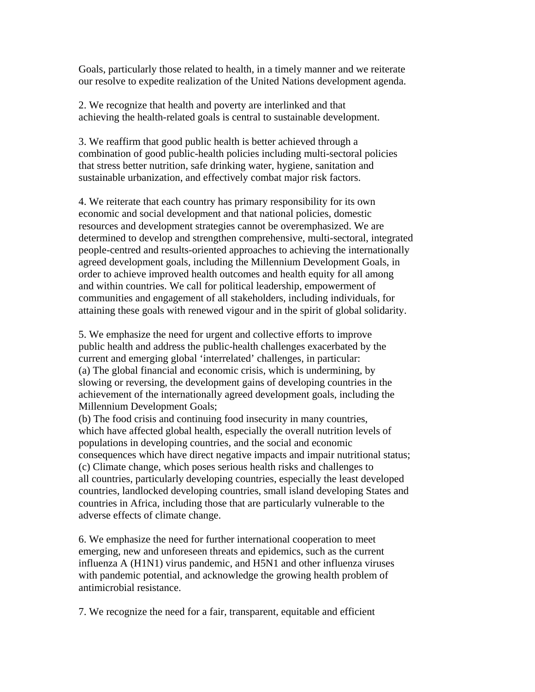Goals, particularly those related to health, in a timely manner and we reiterate our resolve to expedite realization of the United Nations development agenda.

2. We recognize that health and poverty are interlinked and that achieving the health-related goals is central to sustainable development.

3. We reaffirm that good public health is better achieved through a combination of good public-health policies including multi-sectoral policies that stress better nutrition, safe drinking water, hygiene, sanitation and sustainable urbanization, and effectively combat major risk factors.

4. We reiterate that each country has primary responsibility for its own economic and social development and that national policies, domestic resources and development strategies cannot be overemphasized. We are determined to develop and strengthen comprehensive, multi-sectoral, integrated people-centred and results-oriented approaches to achieving the internationally agreed development goals, including the Millennium Development Goals, in order to achieve improved health outcomes and health equity for all among and within countries. We call for political leadership, empowerment of communities and engagement of all stakeholders, including individuals, for attaining these goals with renewed vigour and in the spirit of global solidarity.

5. We emphasize the need for urgent and collective efforts to improve public health and address the public-health challenges exacerbated by the current and emerging global 'interrelated' challenges, in particular: (a) The global financial and economic crisis, which is undermining, by slowing or reversing, the development gains of developing countries in the achievement of the internationally agreed development goals, including the Millennium Development Goals;

(b) The food crisis and continuing food insecurity in many countries, which have affected global health, especially the overall nutrition levels of populations in developing countries, and the social and economic consequences which have direct negative impacts and impair nutritional status; (c) Climate change, which poses serious health risks and challenges to all countries, particularly developing countries, especially the least developed countries, landlocked developing countries, small island developing States and countries in Africa, including those that are particularly vulnerable to the adverse effects of climate change.

6. We emphasize the need for further international cooperation to meet emerging, new and unforeseen threats and epidemics, such as the current influenza A (H1N1) virus pandemic, and H5N1 and other influenza viruses with pandemic potential, and acknowledge the growing health problem of antimicrobial resistance.

7. We recognize the need for a fair, transparent, equitable and efficient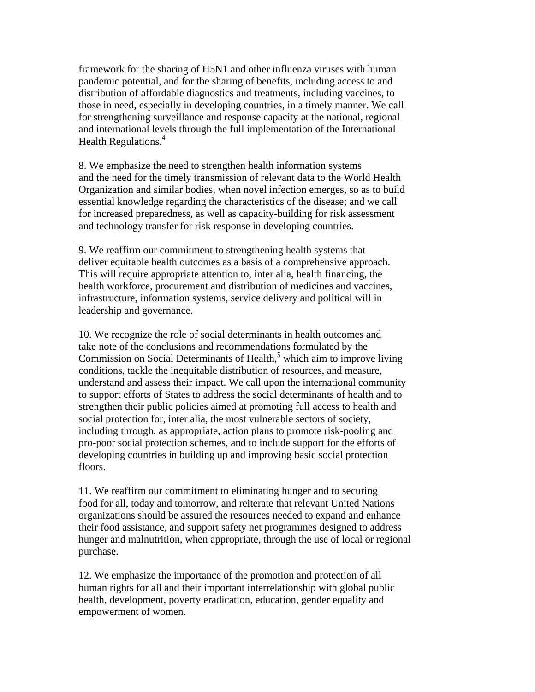framework for the sharing of H5N1 and other influenza viruses with human pandemic potential, and for the sharing of benefits, including access to and distribution of affordable diagnostics and treatments, including vaccines, to those in need, especially in developing countries, in a timely manner. We call for strengthening surveillance and response capacity at the national, regional and international levels through the full implementation of the International Health Regulations.<sup>4</sup>

8. We emphasize the need to strengthen health information systems and the need for the timely transmission of relevant data to the World Health Organization and similar bodies, when novel infection emerges, so as to build essential knowledge regarding the characteristics of the disease; and we call for increased preparedness, as well as capacity-building for risk assessment and technology transfer for risk response in developing countries.

9. We reaffirm our commitment to strengthening health systems that deliver equitable health outcomes as a basis of a comprehensive approach. This will require appropriate attention to, inter alia, health financing, the health workforce, procurement and distribution of medicines and vaccines, infrastructure, information systems, service delivery and political will in leadership and governance.

10. We recognize the role of social determinants in health outcomes and take note of the conclusions and recommendations formulated by the Commission on Social Determinants of Health, $<sup>5</sup>$  which aim to improve living</sup> conditions, tackle the inequitable distribution of resources, and measure, understand and assess their impact. We call upon the international community to support efforts of States to address the social determinants of health and to strengthen their public policies aimed at promoting full access to health and social protection for, inter alia, the most vulnerable sectors of society, including through, as appropriate, action plans to promote risk-pooling and pro-poor social protection schemes, and to include support for the efforts of developing countries in building up and improving basic social protection floors.

11. We reaffirm our commitment to eliminating hunger and to securing food for all, today and tomorrow, and reiterate that relevant United Nations organizations should be assured the resources needed to expand and enhance their food assistance, and support safety net programmes designed to address hunger and malnutrition, when appropriate, through the use of local or regional purchase.

12. We emphasize the importance of the promotion and protection of all human rights for all and their important interrelationship with global public health, development, poverty eradication, education, gender equality and empowerment of women.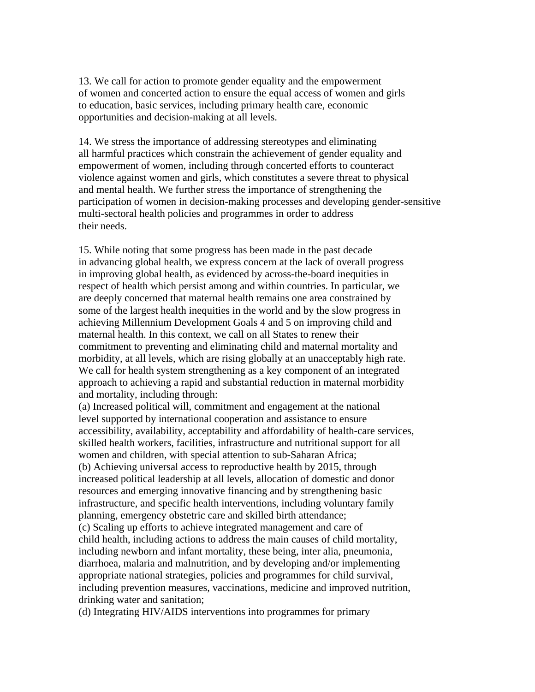13. We call for action to promote gender equality and the empowerment of women and concerted action to ensure the equal access of women and girls to education, basic services, including primary health care, economic opportunities and decision-making at all levels.

14. We stress the importance of addressing stereotypes and eliminating all harmful practices which constrain the achievement of gender equality and empowerment of women, including through concerted efforts to counteract violence against women and girls, which constitutes a severe threat to physical and mental health. We further stress the importance of strengthening the participation of women in decision-making processes and developing gender-sensitive multi-sectoral health policies and programmes in order to address their needs.

15. While noting that some progress has been made in the past decade in advancing global health, we express concern at the lack of overall progress in improving global health, as evidenced by across-the-board inequities in respect of health which persist among and within countries. In particular, we are deeply concerned that maternal health remains one area constrained by some of the largest health inequities in the world and by the slow progress in achieving Millennium Development Goals 4 and 5 on improving child and maternal health. In this context, we call on all States to renew their commitment to preventing and eliminating child and maternal mortality and morbidity, at all levels, which are rising globally at an unacceptably high rate. We call for health system strengthening as a key component of an integrated approach to achieving a rapid and substantial reduction in maternal morbidity and mortality, including through:

(a) Increased political will, commitment and engagement at the national level supported by international cooperation and assistance to ensure accessibility, availability, acceptability and affordability of health-care services, skilled health workers, facilities, infrastructure and nutritional support for all women and children, with special attention to sub-Saharan Africa; (b) Achieving universal access to reproductive health by 2015, through increased political leadership at all levels, allocation of domestic and donor resources and emerging innovative financing and by strengthening basic infrastructure, and specific health interventions, including voluntary family planning, emergency obstetric care and skilled birth attendance; (c) Scaling up efforts to achieve integrated management and care of child health, including actions to address the main causes of child mortality, including newborn and infant mortality, these being, inter alia, pneumonia, diarrhoea, malaria and malnutrition, and by developing and/or implementing appropriate national strategies, policies and programmes for child survival, including prevention measures, vaccinations, medicine and improved nutrition, drinking water and sanitation;

(d) Integrating HIV/AIDS interventions into programmes for primary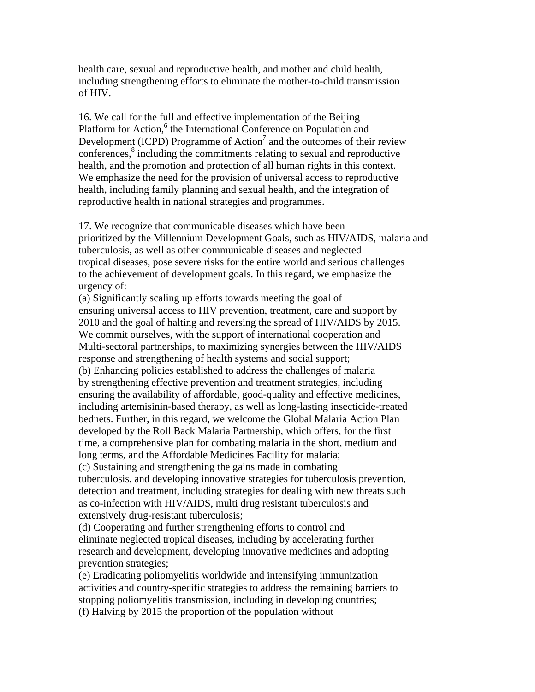health care, sexual and reproductive health, and mother and child health, including strengthening efforts to eliminate the mother-to-child transmission of HIV.

16. We call for the full and effective implementation of the Beijing Platform for Action,<sup>6</sup> the International Conference on Population and Development (ICPD) Programme of Action<sup>7</sup> and the outcomes of their review conferences,<sup>8</sup> including the commitments relating to sexual and reproductive health, and the promotion and protection of all human rights in this context. We emphasize the need for the provision of universal access to reproductive health, including family planning and sexual health, and the integration of reproductive health in national strategies and programmes.

17. We recognize that communicable diseases which have been prioritized by the Millennium Development Goals, such as HIV/AIDS, malaria and tuberculosis, as well as other communicable diseases and neglected tropical diseases, pose severe risks for the entire world and serious challenges to the achievement of development goals. In this regard, we emphasize the urgency of:

(a) Significantly scaling up efforts towards meeting the goal of ensuring universal access to HIV prevention, treatment, care and support by 2010 and the goal of halting and reversing the spread of HIV/AIDS by 2015. We commit ourselves, with the support of international cooperation and Multi-sectoral partnerships, to maximizing synergies between the HIV/AIDS response and strengthening of health systems and social support; (b) Enhancing policies established to address the challenges of malaria by strengthening effective prevention and treatment strategies, including ensuring the availability of affordable, good-quality and effective medicines, including artemisinin-based therapy, as well as long-lasting insecticide-treated bednets. Further, in this regard, we welcome the Global Malaria Action Plan developed by the Roll Back Malaria Partnership, which offers, for the first time, a comprehensive plan for combating malaria in the short, medium and long terms, and the Affordable Medicines Facility for malaria;

(c) Sustaining and strengthening the gains made in combating tuberculosis, and developing innovative strategies for tuberculosis prevention, detection and treatment, including strategies for dealing with new threats such as co-infection with HIV/AIDS, multi drug resistant tuberculosis and extensively drug-resistant tuberculosis;

(d) Cooperating and further strengthening efforts to control and eliminate neglected tropical diseases, including by accelerating further research and development, developing innovative medicines and adopting prevention strategies;

(e) Eradicating poliomyelitis worldwide and intensifying immunization activities and country-specific strategies to address the remaining barriers to stopping poliomyelitis transmission, including in developing countries; (f) Halving by 2015 the proportion of the population without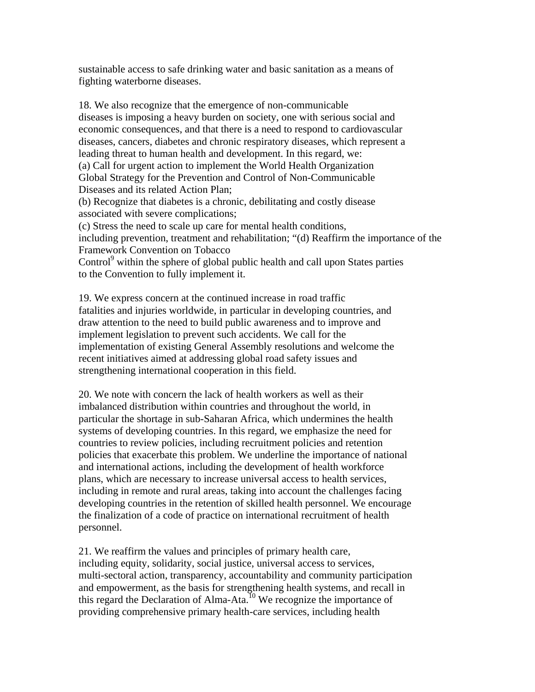sustainable access to safe drinking water and basic sanitation as a means of fighting waterborne diseases.

18. We also recognize that the emergence of non-communicable diseases is imposing a heavy burden on society, one with serious social and economic consequences, and that there is a need to respond to cardiovascular diseases, cancers, diabetes and chronic respiratory diseases, which represent a leading threat to human health and development. In this regard, we: (a) Call for urgent action to implement the World Health Organization Global Strategy for the Prevention and Control of Non-Communicable Diseases and its related Action Plan; (b) Recognize that diabetes is a chronic, debilitating and costly disease associated with severe complications; (c) Stress the need to scale up care for mental health conditions, including prevention, treatment and rehabilitation; "(d) Reaffirm the importance of the Framework Convention on Tobacco Control<sup>9</sup> within the sphere of global public health and call upon States parties

to the Convention to fully implement it.

19. We express concern at the continued increase in road traffic fatalities and injuries worldwide, in particular in developing countries, and draw attention to the need to build public awareness and to improve and implement legislation to prevent such accidents. We call for the implementation of existing General Assembly resolutions and welcome the recent initiatives aimed at addressing global road safety issues and strengthening international cooperation in this field.

20. We note with concern the lack of health workers as well as their imbalanced distribution within countries and throughout the world, in particular the shortage in sub-Saharan Africa, which undermines the health systems of developing countries. In this regard, we emphasize the need for countries to review policies, including recruitment policies and retention policies that exacerbate this problem. We underline the importance of national and international actions, including the development of health workforce plans, which are necessary to increase universal access to health services, including in remote and rural areas, taking into account the challenges facing developing countries in the retention of skilled health personnel. We encourage the finalization of a code of practice on international recruitment of health personnel.

21. We reaffirm the values and principles of primary health care, including equity, solidarity, social justice, universal access to services, multi-sectoral action, transparency, accountability and community participation and empowerment, as the basis for strengthening health systems, and recall in this regard the Declaration of Alma-Ata.<sup>10</sup> We recognize the importance of providing comprehensive primary health-care services, including health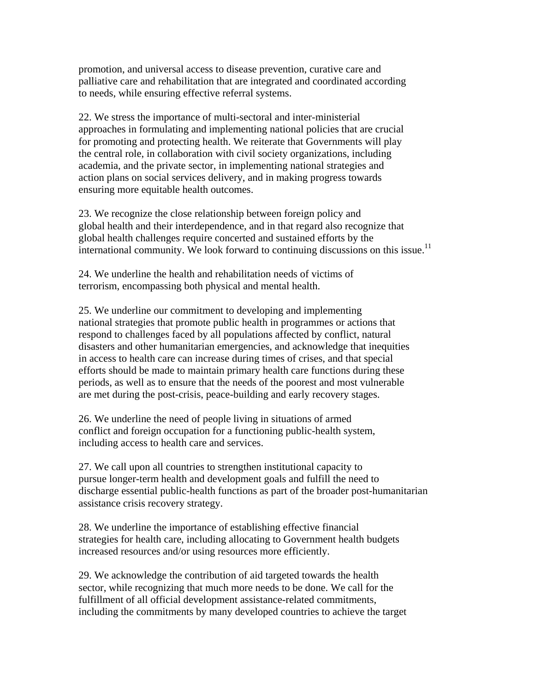promotion, and universal access to disease prevention, curative care and palliative care and rehabilitation that are integrated and coordinated according to needs, while ensuring effective referral systems.

22. We stress the importance of multi-sectoral and inter-ministerial approaches in formulating and implementing national policies that are crucial for promoting and protecting health. We reiterate that Governments will play the central role, in collaboration with civil society organizations, including academia, and the private sector, in implementing national strategies and action plans on social services delivery, and in making progress towards ensuring more equitable health outcomes.

23. We recognize the close relationship between foreign policy and global health and their interdependence, and in that regard also recognize that global health challenges require concerted and sustained efforts by the international community. We look forward to continuing discussions on this issue.<sup>11</sup>

24. We underline the health and rehabilitation needs of victims of terrorism, encompassing both physical and mental health.

25. We underline our commitment to developing and implementing national strategies that promote public health in programmes or actions that respond to challenges faced by all populations affected by conflict, natural disasters and other humanitarian emergencies, and acknowledge that inequities in access to health care can increase during times of crises, and that special efforts should be made to maintain primary health care functions during these periods, as well as to ensure that the needs of the poorest and most vulnerable are met during the post-crisis, peace-building and early recovery stages.

26. We underline the need of people living in situations of armed conflict and foreign occupation for a functioning public-health system, including access to health care and services.

27. We call upon all countries to strengthen institutional capacity to pursue longer-term health and development goals and fulfill the need to discharge essential public-health functions as part of the broader post-humanitarian assistance crisis recovery strategy.

28. We underline the importance of establishing effective financial strategies for health care, including allocating to Government health budgets increased resources and/or using resources more efficiently.

29. We acknowledge the contribution of aid targeted towards the health sector, while recognizing that much more needs to be done. We call for the fulfillment of all official development assistance-related commitments, including the commitments by many developed countries to achieve the target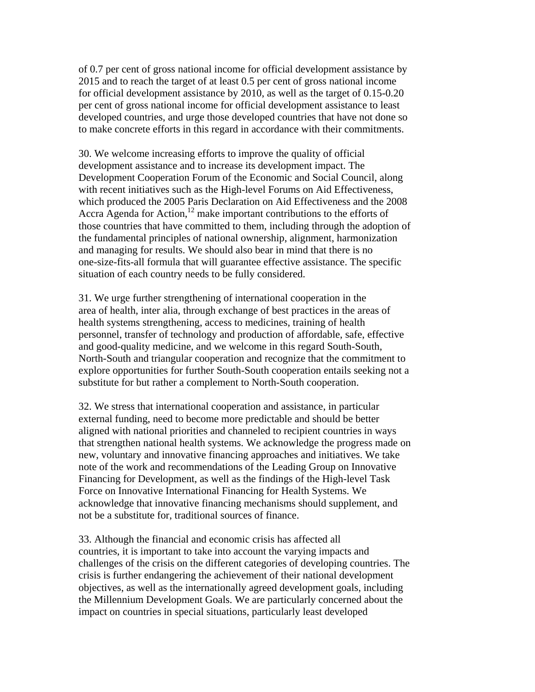of 0.7 per cent of gross national income for official development assistance by 2015 and to reach the target of at least 0.5 per cent of gross national income for official development assistance by 2010, as well as the target of 0.15-0.20 per cent of gross national income for official development assistance to least developed countries, and urge those developed countries that have not done so to make concrete efforts in this regard in accordance with their commitments.

30. We welcome increasing efforts to improve the quality of official development assistance and to increase its development impact. The Development Cooperation Forum of the Economic and Social Council, along with recent initiatives such as the High-level Forums on Aid Effectiveness, which produced the 2005 Paris Declaration on Aid Effectiveness and the 2008 Accra Agenda for Action,<sup>12</sup> make important contributions to the efforts of those countries that have committed to them, including through the adoption of the fundamental principles of national ownership, alignment, harmonization and managing for results. We should also bear in mind that there is no one-size-fits-all formula that will guarantee effective assistance. The specific situation of each country needs to be fully considered.

31. We urge further strengthening of international cooperation in the area of health, inter alia, through exchange of best practices in the areas of health systems strengthening, access to medicines, training of health personnel, transfer of technology and production of affordable, safe, effective and good-quality medicine, and we welcome in this regard South-South, North-South and triangular cooperation and recognize that the commitment to explore opportunities for further South-South cooperation entails seeking not a substitute for but rather a complement to North-South cooperation.

32. We stress that international cooperation and assistance, in particular external funding, need to become more predictable and should be better aligned with national priorities and channeled to recipient countries in ways that strengthen national health systems. We acknowledge the progress made on new, voluntary and innovative financing approaches and initiatives. We take note of the work and recommendations of the Leading Group on Innovative Financing for Development, as well as the findings of the High-level Task Force on Innovative International Financing for Health Systems. We acknowledge that innovative financing mechanisms should supplement, and not be a substitute for, traditional sources of finance.

33. Although the financial and economic crisis has affected all countries, it is important to take into account the varying impacts and challenges of the crisis on the different categories of developing countries. The crisis is further endangering the achievement of their national development objectives, as well as the internationally agreed development goals, including the Millennium Development Goals. We are particularly concerned about the impact on countries in special situations, particularly least developed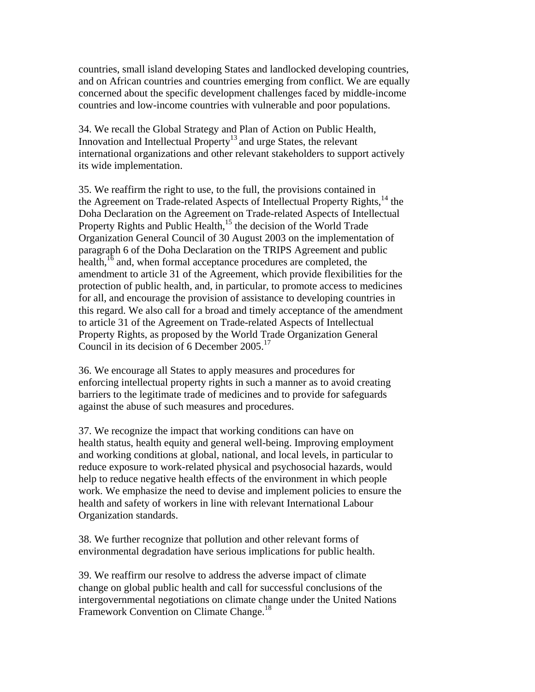countries, small island developing States and landlocked developing countries, and on African countries and countries emerging from conflict. We are equally concerned about the specific development challenges faced by middle-income countries and low-income countries with vulnerable and poor populations.

34. We recall the Global Strategy and Plan of Action on Public Health, Innovation and Intellectual Property<sup>13</sup> and urge States, the relevant international organizations and other relevant stakeholders to support actively its wide implementation.

35. We reaffirm the right to use, to the full, the provisions contained in the Agreement on Trade-related Aspects of Intellectual Property Rights,<sup>14</sup> the Doha Declaration on the Agreement on Trade-related Aspects of Intellectual Property Rights and Public Health, $15$  the decision of the World Trade Organization General Council of 30 August 2003 on the implementation of paragraph 6 of the Doha Declaration on the TRIPS Agreement and public health, $16$  and, when formal acceptance procedures are completed, the amendment to article 31 of the Agreement, which provide flexibilities for the protection of public health, and, in particular, to promote access to medicines for all, and encourage the provision of assistance to developing countries in this regard. We also call for a broad and timely acceptance of the amendment to article 31 of the Agreement on Trade-related Aspects of Intellectual Property Rights, as proposed by the World Trade Organization General Council in its decision of 6 December 2005.<sup>17</sup>

36. We encourage all States to apply measures and procedures for enforcing intellectual property rights in such a manner as to avoid creating barriers to the legitimate trade of medicines and to provide for safeguards against the abuse of such measures and procedures.

37. We recognize the impact that working conditions can have on health status, health equity and general well-being. Improving employment and working conditions at global, national, and local levels, in particular to reduce exposure to work-related physical and psychosocial hazards, would help to reduce negative health effects of the environment in which people work. We emphasize the need to devise and implement policies to ensure the health and safety of workers in line with relevant International Labour Organization standards.

38. We further recognize that pollution and other relevant forms of environmental degradation have serious implications for public health.

39. We reaffirm our resolve to address the adverse impact of climate change on global public health and call for successful conclusions of the intergovernmental negotiations on climate change under the United Nations Framework Convention on Climate Change.<sup>18</sup>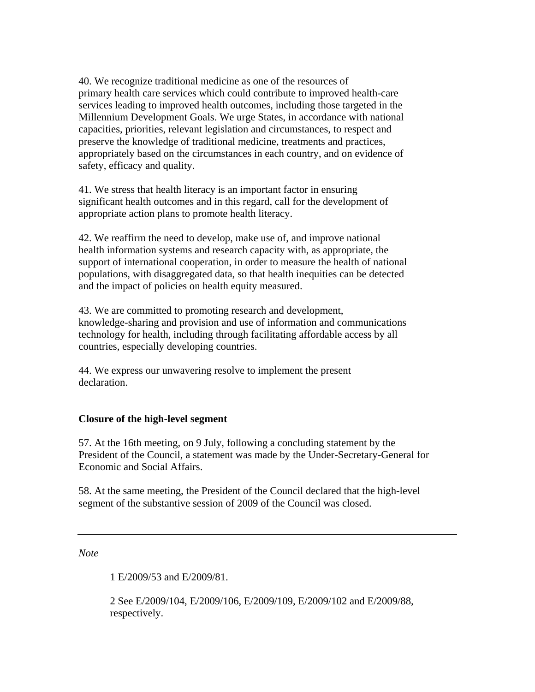40. We recognize traditional medicine as one of the resources of primary health care services which could contribute to improved health-care services leading to improved health outcomes, including those targeted in the Millennium Development Goals. We urge States, in accordance with national capacities, priorities, relevant legislation and circumstances, to respect and preserve the knowledge of traditional medicine, treatments and practices, appropriately based on the circumstances in each country, and on evidence of safety, efficacy and quality.

41. We stress that health literacy is an important factor in ensuring significant health outcomes and in this regard, call for the development of appropriate action plans to promote health literacy.

42. We reaffirm the need to develop, make use of, and improve national health information systems and research capacity with, as appropriate, the support of international cooperation, in order to measure the health of national populations, with disaggregated data, so that health inequities can be detected and the impact of policies on health equity measured.

43. We are committed to promoting research and development, knowledge-sharing and provision and use of information and communications technology for health, including through facilitating affordable access by all countries, especially developing countries.

44. We express our unwavering resolve to implement the present declaration.

## **Closure of the high-level segment**

57. At the 16th meeting, on 9 July, following a concluding statement by the President of the Council, a statement was made by the Under-Secretary-General for Economic and Social Affairs.

58. At the same meeting, the President of the Council declared that the high-level segment of the substantive session of 2009 of the Council was closed.

*Note*

1 E/2009/53 and E/2009/81.

2 See E/2009/104, E/2009/106, E/2009/109, E/2009/102 and E/2009/88, respectively.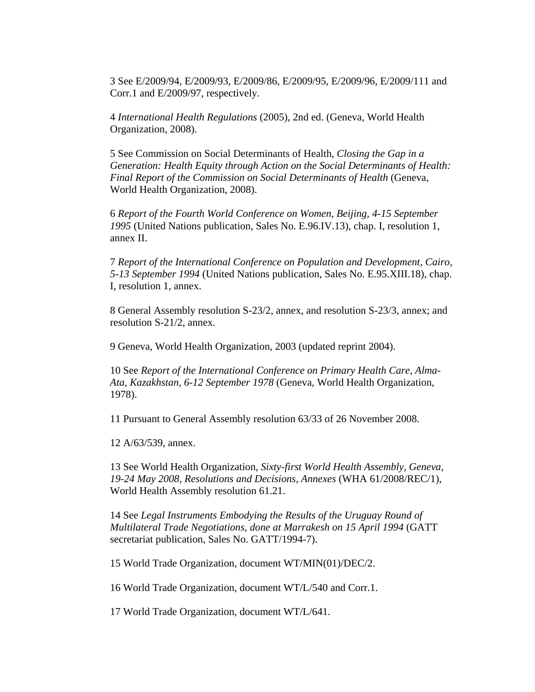3 See E/2009/94, E/2009/93, E/2009/86, E/2009/95, E/2009/96, E/2009/111 and Corr.1 and E/2009/97, respectively.

4 *International Health Regulations* (2005), 2nd ed. (Geneva, World Health Organization, 2008).

5 See Commission on Social Determinants of Health, *Closing the Gap in a Generation: Health Equity through Action on the Social Determinants of Health: Final Report of the Commission on Social Determinants of Health* (Geneva, World Health Organization, 2008).

6 *Report of the Fourth World Conference on Women, Beijing, 4-15 September 1995* (United Nations publication, Sales No. E.96.IV.13), chap. I, resolution 1, annex II.

7 *Report of the International Conference on Population and Development, Cairo, 5-13 September 1994* (United Nations publication, Sales No. E.95.XIII.18), chap. I, resolution 1, annex.

8 General Assembly resolution S-23/2, annex, and resolution S-23/3, annex; and resolution S-21/2, annex.

9 Geneva, World Health Organization, 2003 (updated reprint 2004).

10 See *Report of the International Conference on Primary Health Care, Alma-Ata, Kazakhstan, 6-12 September 1978* (Geneva, World Health Organization, 1978).

11 Pursuant to General Assembly resolution 63/33 of 26 November 2008.

12 A/63/539, annex.

13 See World Health Organization, *Sixty-first World Health Assembly, Geneva, 19-24 May 2008, Resolutions and Decisions, Annexes* (WHA 61/2008/REC/1), World Health Assembly resolution 61.21.

14 See *Legal Instruments Embodying the Results of the Uruguay Round of Multilateral Trade Negotiations, done at Marrakesh on 15 April 1994* (GATT secretariat publication, Sales No. GATT/1994-7).

15 World Trade Organization, document WT/MIN(01)/DEC/2.

16 World Trade Organization, document WT/L/540 and Corr.1.

17 World Trade Organization, document WT/L/641.